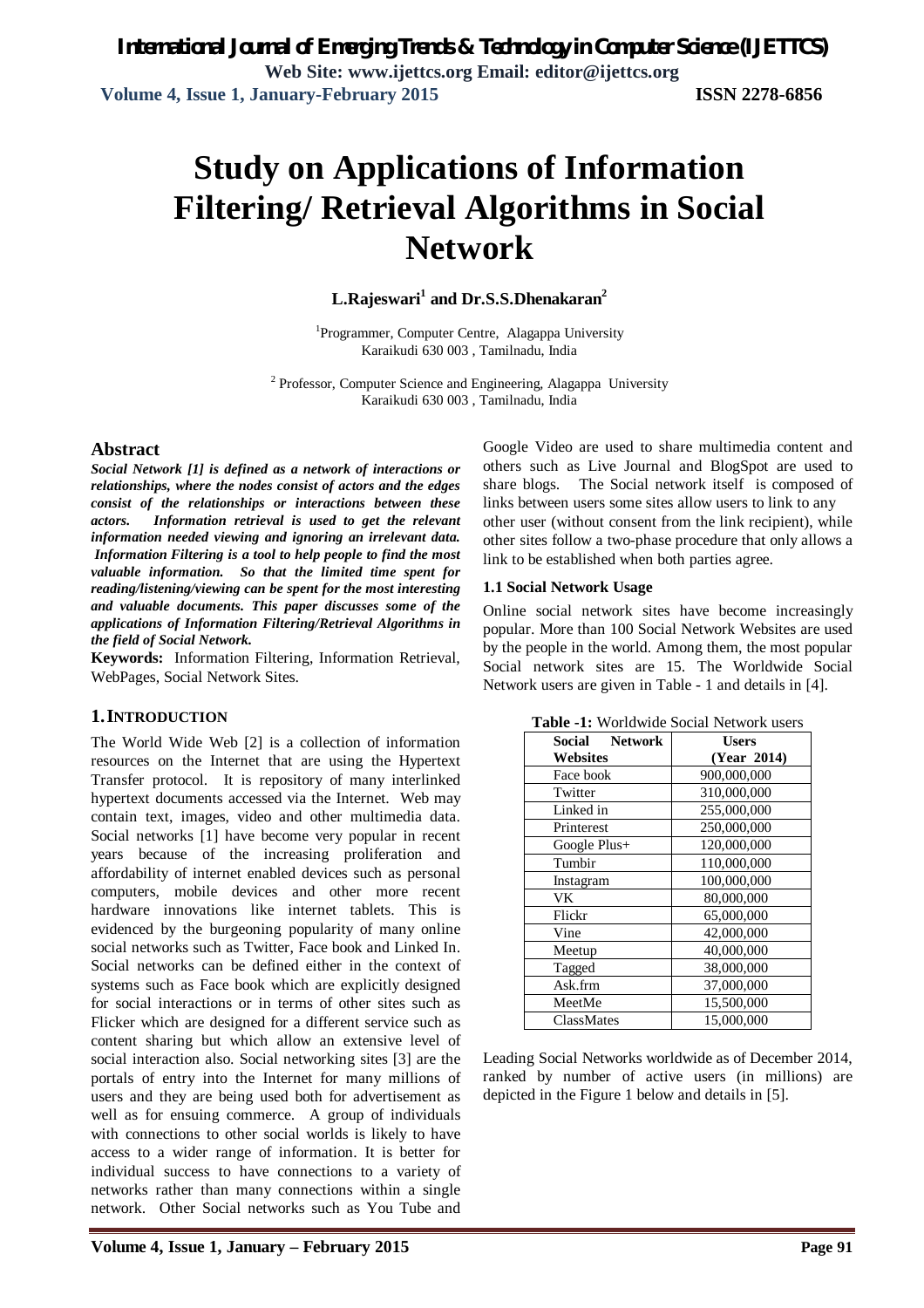# **Study on Applications of Information Filtering/ Retrieval Algorithms in Social Network**

**L.Rajeswari<sup>1</sup> and Dr.S.S.Dhenakaran<sup>2</sup>**

<sup>1</sup>Programmer, Computer Centre, Alagappa University Karaikudi 630 003 , Tamilnadu, India

<sup>2</sup> Professor, Computer Science and Engineering, Alagappa University Karaikudi 630 003 , Tamilnadu, India

## **Abstract**

*Social Network [1] is defined as a network of interactions or relationships, where the nodes consist of actors and the edges consist of the relationships or interactions between these actors. Information retrieval is used to get the relevant information needed viewing and ignoring an irrelevant data. Information Filtering is a tool to help people to find the most valuable information. So that the limited time spent for reading/listening/viewing can be spent for the most interesting and valuable documents. This paper discusses some of the applications of Information Filtering/Retrieval Algorithms in the field of Social Network.*

**Keywords:** Information Filtering, Information Retrieval, WebPages, Social Network Sites.

## **1.INTRODUCTION**

The World Wide Web [2] is a collection of information resources on the Internet that are using the Hypertext Transfer protocol. It is repository of many interlinked hypertext documents accessed via the Internet. Web may contain text, images, video and other multimedia data. Social networks [1] have become very popular in recent years because of the increasing proliferation and affordability of internet enabled devices such as personal computers, mobile devices and other more recent hardware innovations like internet tablets. This is evidenced by the burgeoning popularity of many online social networks such as Twitter, Face book and Linked In. Social networks can be defined either in the context of systems such as Face book which are explicitly designed for social interactions or in terms of other sites such as Flicker which are designed for a different service such as content sharing but which allow an extensive level of social interaction also. Social networking sites [3] are the portals of entry into the Internet for many millions of users and they are being used both for advertisement as well as for ensuing commerce. A group of individuals with connections to other social worlds is likely to have access to a wider range of information. It is better for individual success to have connections to a variety of networks rather than many connections within a single network. Other Social networks such as You Tube and

Google Video are used to share multimedia content and others such as Live Journal and BlogSpot are used to share blogs. The Social network itself is composed of links between users some sites allow users to link to any other user (without consent from the link recipient), while other sites follow a two-phase procedure that only allows a link to be established when both parties agree.

#### **1.1 Social Network Usage**

Online social network sites have become increasingly popular. More than 100 Social Network Websites are used by the people in the world. Among them, the most popular Social network sites are 15. The Worldwide Social Network users are given in Table - 1 and details in [4].

| <b>Network</b><br>Social | <b>Users</b> |
|--------------------------|--------------|
| Websites                 | (Year 2014)  |
| Face book                | 900,000,000  |
| Twitter                  | 310,000,000  |
| Linked in                | 255,000,000  |
| Printerest               | 250,000,000  |
| Google Plus+             | 120,000,000  |
| Tumbir                   | 110,000,000  |
| Instagram                | 100,000,000  |
| VK.                      | 80,000,000   |
| Flickr                   | 65,000,000   |
| Vine                     | 42,000,000   |
| Meetup                   | 40,000,000   |
| Tagged                   | 38,000,000   |
| Ask.frm                  | 37,000,000   |
| MeetMe                   | 15,500,000   |
| ClassMates               | 15,000,000   |

**Table -1:** Worldwide Social Network users

Leading Social Networks worldwide as of December 2014, ranked by number of active users (in millions) are depicted in the Figure 1 below and details in [5].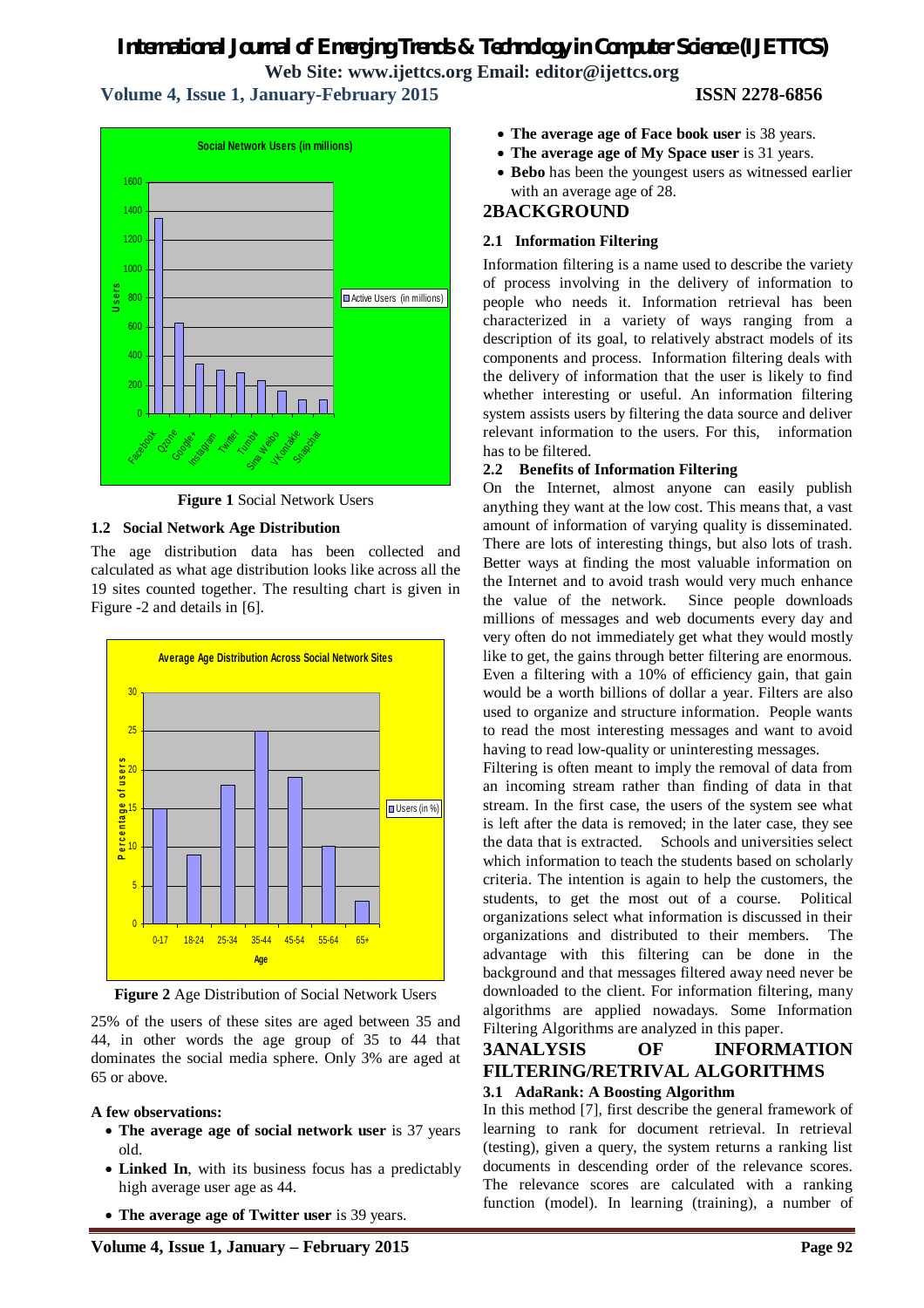# *International Journal of Emerging Trends & Technology in Computer Science (IJETTCS)*

**Web Site: www.ijettcs.org Email: editor@ijettcs.org** 

## **Volume 4, Issue 1, January-February 2015 ISSN 2278-6856**



**Figure 1** Social Network Users

## **1.2 Social Network Age Distribution**

The age distribution data has been collected and calculated as what age distribution looks like across all the 19 sites counted together. The resulting chart is given in Figure -2 and details in [6].



**Figure 2** Age Distribution of Social Network Users

25% of the users of these sites are aged between 35 and 44, in other words the age group of 35 to 44 that dominates the social media sphere. Only 3% are aged at 65 or above.

## **A few observations:**

- **The average age of social network user** is 37 years old.
- **Linked In**, with its business focus has a predictably high average user age as 44.
- **The average age of Twitter user** is 39 years.
- **The average age of Face book user** is 38 years.
- **The average age of My Space user** is 31 years.
- **Bebo** has been the youngest users as witnessed earlier with an average age of 28.

## **2BACKGROUND**

## **2.1 Information Filtering**

Information filtering is a name used to describe the variety of process involving in the delivery of information to people who needs it. Information retrieval has been characterized in a variety of ways ranging from a description of its goal, to relatively abstract models of its components and process. Information filtering deals with the delivery of information that the user is likely to find whether interesting or useful. An information filtering system assists users by filtering the data source and deliver relevant information to the users. For this, information has to be filtered.

## **2.2 Benefits of Information Filtering**

On the Internet, almost anyone can easily publish anything they want at the low cost. This means that, a vast amount of information of varying quality is disseminated. There are lots of interesting things, but also lots of trash. Better ways at finding the most valuable information on the Internet and to avoid trash would very much enhance the value of the network. Since people downloads millions of messages and web documents every day and very often do not immediately get what they would mostly like to get, the gains through better filtering are enormous. Even a filtering with a 10% of efficiency gain, that gain would be a worth billions of dollar a year. Filters are also used to organize and structure information. People wants to read the most interesting messages and want to avoid having to read low-quality or uninteresting messages.

Filtering is often meant to imply the removal of data from an incoming stream rather than finding of data in that stream. In the first case, the users of the system see what is left after the data is removed; in the later case, they see the data that is extracted. Schools and universities select which information to teach the students based on scholarly criteria. The intention is again to help the customers, the students, to get the most out of a course. Political organizations select what information is discussed in their organizations and distributed to their members. The advantage with this filtering can be done in the background and that messages filtered away need never be downloaded to the client. For information filtering, many algorithms are applied nowadays. Some Information Filtering Algorithms are analyzed in this paper.

# **3ANALYSIS OF INFORMATION FILTERING/RETRIVAL ALGORITHMS**

## **3.1 AdaRank: A Boosting Algorithm**

In this method [7], first describe the general framework of learning to rank for document retrieval. In retrieval (testing), given a query, the system returns a ranking list documents in descending order of the relevance scores. The relevance scores are calculated with a ranking function (model). In learning (training), a number of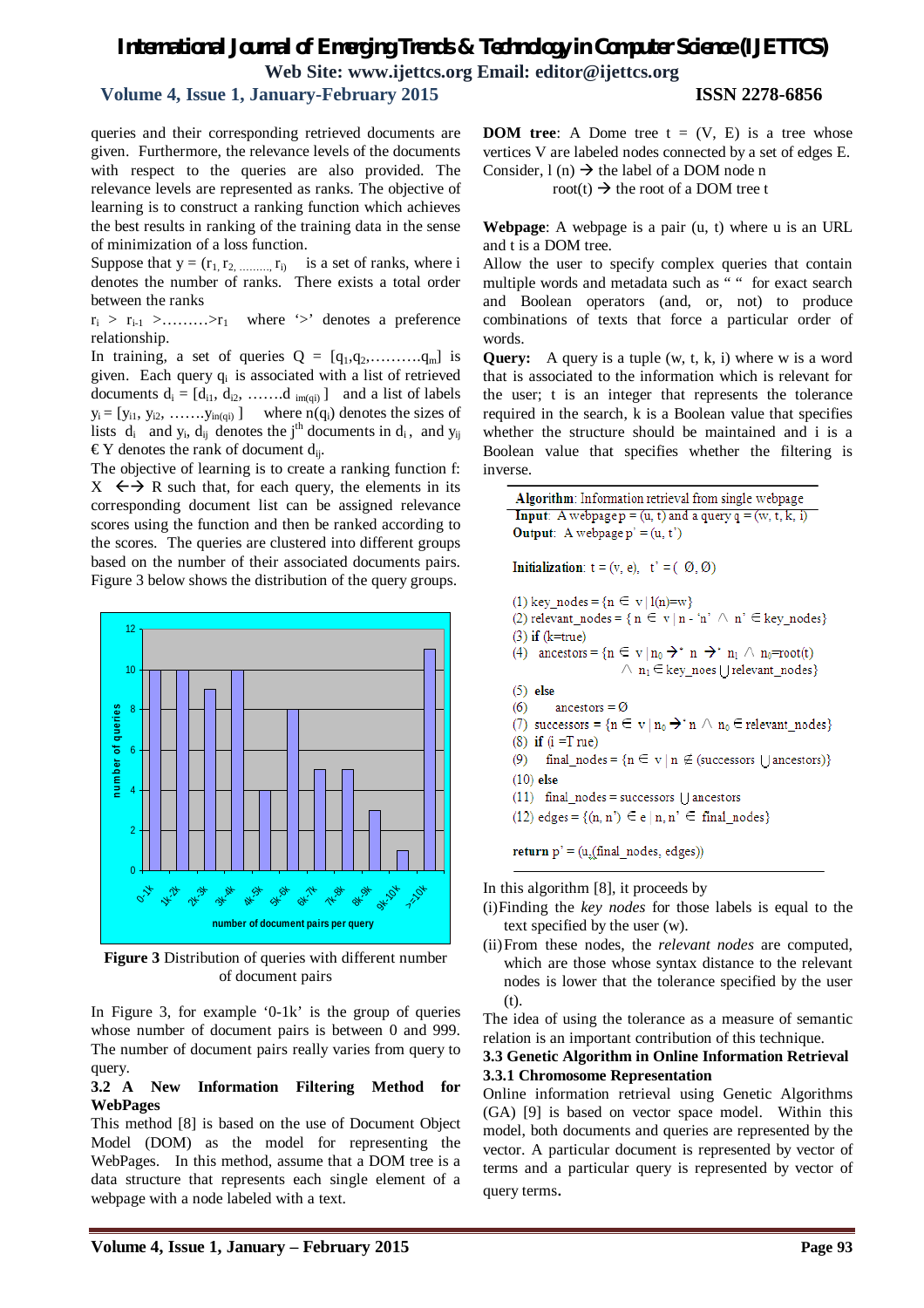## *International Journal of Emerging Trends & Technology in Computer Science (IJETTCS)* **Web Site: www.ijettcs.org Email: editor@ijettcs.org**

## **Volume 4, Issue 1, January-February 2015 ISSN 2278-6856**

queries and their corresponding retrieved documents are given. Furthermore, the relevance levels of the documents with respect to the queries are also provided. The relevance levels are represented as ranks. The objective of learning is to construct a ranking function which achieves the best results in ranking of the training data in the sense of minimization of a loss function.

Suppose that  $y = (r_1, r_2, \dots, r_i)$  is a set of ranks, where i denotes the number of ranks. There exists a total order between the ranks

 $r_i > r_{i-1} > \dots > r_1$  where '>' denotes a preference relationship.

In training, a set of queries  $Q = [q_1, q_2, \ldots, q_m]$  is given. Each query  $q_i$  is associated with a list of retrieved documents  $d_i = [d_{i1}, d_{i2}, \ldots, d_{im(qi)}]$  and a list of labels  $y_i = [y_{i1}, y_{i2}, \ldots, y_{in(qi)}]$  where  $n(q_i)$  denotes the sizes of lists  $d_i$  and  $y_i$ ,  $d_{ij}$  denotes the j<sup>th</sup> documents in  $d_i$ , and  $y_{ij}$  $\epsilon$ Y denotes the rank of document d<sub>ij</sub>.

The objective of learning is to create a ranking function f:  $X \leftrightarrow R$  such that, for each query, the elements in its corresponding document list can be assigned relevance scores using the function and then be ranked according to the scores. The queries are clustered into different groups based on the number of their associated documents pairs. Figure 3 below shows the distribution of the query groups.



**Figure 3** Distribution of queries with different number of document pairs

In Figure 3, for example '0-1k' is the group of queries whose number of document pairs is between 0 and 999. The number of document pairs really varies from query to query.

#### **3.2 A New Information Filtering Method for WebPages**

This method [8] is based on the use of Document Object Model (DOM) as the model for representing the WebPages. In this method, assume that a DOM tree is a data structure that represents each single element of a webpage with a node labeled with a text.

**DOM tree:** A Dome tree  $t = (V, E)$  is a tree whose vertices V are labeled nodes connected by a set of edges E. Consider,  $l(n) \rightarrow$  the label of a DOM node n

root(t)  $\rightarrow$  the root of a DOM tree t

**Webpage**: A webpage is a pair (u, t) where u is an URL and t is a DOM tree.

Allow the user to specify complex queries that contain multiple words and metadata such as " " for exact search and Boolean operators (and, or, not) to produce combinations of texts that force a particular order of words.

**Query:** A query is a tuple (w, t, k, i) where w is a word that is associated to the information which is relevant for the user; t is an integer that represents the tolerance required in the search, k is a Boolean value that specifies whether the structure should be maintained and i is a Boolean value that specifies whether the filtering is inverse.

Algorithm: Information retrieval from single webpage **Input:** A webpage  $p = (u, t)$  and a query  $q = (w, t, k, i)$ **Output:** A webpage  $p' = (u, t')$ 

Initialization:  $t = (v, e), t' = (0, 0)$ 

- (1) key nodes =  $\{n \in v | l(n)=w\}$
- (2) relevant nodes = {  $n \in v | n n' \wedge n' \in \text{key nodes}$ }
- $(3)$  if  $(k=true)$ (4) ancestors =  $\{n \in v \mid n_0 \rightarrow^n n \rightarrow^n n_1 \land n_0 = root(t)\}$ 
	- $\wedge$   $n_1 \in \text{key\_noes}$  [ ] relevant\_nodes }
- $(5)$  else
- $(6)$ ancestors =  $\emptyset$
- (7) successors =  $\{n \in v \mid n_0 \rightarrow n \land n_0 \in$  relevant\_nodes}  $(8)$  if  $(i = True)$
- 
- (9) final nodes =  $\{n \in v \mid n \notin$  (successors  $\{\}$  ancestors)}  $(10)$  else
- $(11)$  final nodes = successors  $\vert$  ancestors
- (12) edges =  $\{(n, n') \in e | n, n' \in \text{final nodes}\}\$

return  $p' = (u_n(final-node, edges))$ 

In this algorithm [8], it proceeds by

- (i)Finding the *key nodes* for those labels is equal to the text specified by the user (w).
- (ii)From these nodes, the *relevant nodes* are computed, which are those whose syntax distance to the relevant nodes is lower that the tolerance specified by the user (t).

The idea of using the tolerance as a measure of semantic relation is an important contribution of this technique.

#### **3.3 Genetic Algorithm in Online Information Retrieval 3.3.1 Chromosome Representation**

Online information retrieval using Genetic Algorithms (GA) [9] is based on vector space model. Within this model, both documents and queries are represented by the vector. A particular document is represented by vector of terms and a particular query is represented by vector of query terms.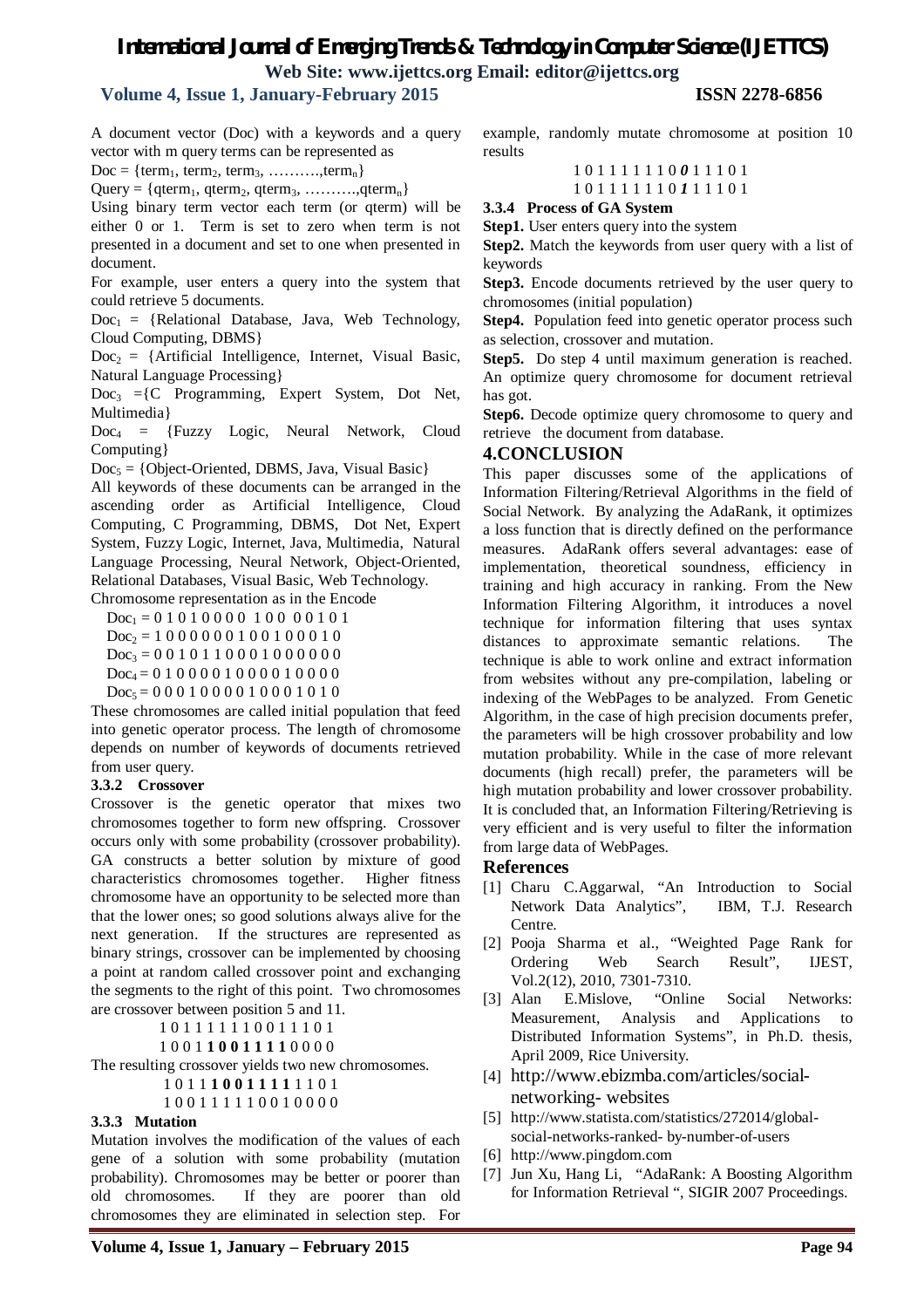## *International Journal of Emerging Trends & Technology in Computer Science (IJETTCS)* **Web Site: www.ijettcs.org Email: editor@ijettcs.org**

## **Volume 4, Issue 1, January-February 2015 ISSN 2278-6856**

A document vector (Doc) with a keywords and a query vector with m query terms can be represented as

 $Doc = {term<sub>1</sub>, term<sub>2</sub>, term<sub>3</sub>, .........,term<sub>n</sub>}$ 

 $Query = \{qterm_1, qterm_2, qterm_3, \ldots, qterm_n\}$ 

Using binary term vector each term (or qterm) will be either 0 or 1. Term is set to zero when term is not presented in a document and set to one when presented in document.

For example, user enters a query into the system that could retrieve 5 documents.

 $Doc<sub>1</sub> = {Relational Database, Java, Web Technology,$ Cloud Computing, DBMS}

 $Doc<sub>2</sub> = {Artificial Intelligence, Internet, Visual Basic,$ Natural Language Processing}

 $Doc<sub>3</sub> = {C Programming, Expert System, Dot Net,$ Multimedia}

 $Doc<sub>4</sub> = {Fuzzy Logic, Neural Network, Cloud$ Computing}

 $Doc<sub>5</sub> = {Object-Oriented, DBMS, Java, Visual Basic}$ 

All keywords of these documents can be arranged in the ascending order as Artificial Intelligence, Cloud Computing, C Programming, DBMS, Dot Net, Expert System, Fuzzy Logic, Internet, Java, Multimedia, Natural Language Processing, Neural Network, Object-Oriented, Relational Databases, Visual Basic, Web Technology.

Chromosome representation as in the Encode

 $Doc_1 = 0 1 0 1 0 0 0 0 1 0 0 0 0 1 0 1$ 

 $Doc<sub>2</sub> = 1 0 0 0 0 0 0 1 0 0 1 0 0 0 1 0$ 

 $Doc_3 = 0 0 1 0 1 1 0 0 0 1 0 0 0 0 0 0$ 

 $Doc_4 = 0 1 0 0 0 0 1 0 0 0 0 1 0 0 0 0$ 

 $Doc_5 = 00010000100010101$ 

These chromosomes are called initial population that feed into genetic operator process. The length of chromosome depends on number of keywords of documents retrieved from user query.

#### **3.3.2 Crossover**

Crossover is the genetic operator that mixes two chromosomes together to form new offspring. Crossover occurs only with some probability (crossover probability). GA constructs a better solution by mixture of good characteristics chromosomes together. Higher fitness chromosome have an opportunity to be selected more than that the lower ones; so good solutions always alive for the next generation. If the structures are represented as binary strings, crossover can be implemented by choosing a point at random called crossover point and exchanging the segments to the right of this point. Two chromosomes are crossover between position 5 and 11.

1 0 1 1 1 1 1 1 0 0 1 1 1 0 1

1 0 0 1 **1 0 0 1 1 1 1** 0 0 0 0

The resulting crossover yields two new chromosomes.

1 0 1 1 **1 0 0 1 1 1 1** 1 1 0 1

1 0 0 1 1 1 1 1 0 0 1 0 0 0 0

#### **3.3.3 Mutation**

Mutation involves the modification of the values of each gene of a solution with some probability (mutation probability). Chromosomes may be better or poorer than old chromosomes. If they are poorer than old chromosomes they are eliminated in selection step. For

example, randomly mutate chromosome at position 10 results

1 0 1 1 1 1 1 1 0 *0* 1 1 1 0 1

1 0 1 1 1 1 1 1 0 *1* 1 1 1 0 1

**3.3.4 Process of GA System**

**Step1.** User enters query into the system

**Step2.** Match the keywords from user query with a list of keywords

**Step3.** Encode documents retrieved by the user query to chromosomes (initial population)

**Step4.** Population feed into genetic operator process such as selection, crossover and mutation.

**Step5.** Do step 4 until maximum generation is reached. An optimize query chromosome for document retrieval has got.

**Step6.** Decode optimize query chromosome to query and retrieve the document from database.

#### **4.CONCLUSION**

This paper discusses some of the applications of Information Filtering/Retrieval Algorithms in the field of Social Network. By analyzing the AdaRank, it optimizes a loss function that is directly defined on the performance measures. AdaRank offers several advantages: ease of implementation, theoretical soundness, efficiency in training and high accuracy in ranking. From the New Information Filtering Algorithm, it introduces a novel technique for information filtering that uses syntax distances to approximate semantic relations. The technique is able to work online and extract information from websites without any pre-compilation, labeling or indexing of the WebPages to be analyzed. From Genetic Algorithm, in the case of high precision documents prefer, the parameters will be high crossover probability and low mutation probability. While in the case of more relevant documents (high recall) prefer, the parameters will be high mutation probability and lower crossover probability. It is concluded that, an Information Filtering/Retrieving is very efficient and is very useful to filter the information from large data of WebPages.

#### **References**

- [1] Charu C.Aggarwal, "An Introduction to Social Network Data Analytics", IBM, T.J. Research Centre.
- [2] Pooja Sharma et al., "Weighted Page Rank for Ordering Web Search Result", IJEST, Vol.2(12), 2010, 7301-7310.
- [3] Alan E.Mislove, "Online Social Networks: Measurement, Analysis and Applications to Distributed Information Systems", in Ph.D. thesis, April 2009, Rice University.
- [4] http://www.ebizmba.com/articles/socialnetworking- websites
- [5] http://www.statista.com/statistics/272014/globalsocial-networks-ranked- by-number-of-users
- [6] http://www.pingdom.com
- [7] Jun Xu, Hang Li, "AdaRank: A Boosting Algorithm for Information Retrieval ", SIGIR 2007 Proceedings.